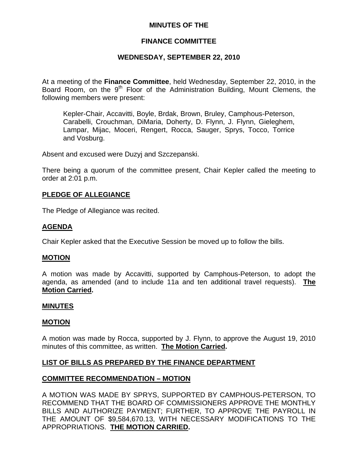## **MINUTES OF THE**

## **FINANCE COMMITTEE**

## **WEDNESDAY, SEPTEMBER 22, 2010**

At a meeting of the **Finance Committee**, held Wednesday, September 22, 2010, in the Board Room, on the  $9<sup>th</sup>$  Floor of the Administration Building, Mount Clemens, the following members were present:

Kepler-Chair, Accavitti, Boyle, Brdak, Brown, Bruley, Camphous-Peterson, Carabelli, Crouchman, DiMaria, Doherty, D. Flynn, J. Flynn, Gieleghem, Lampar, Mijac, Moceri, Rengert, Rocca, Sauger, Sprys, Tocco, Torrice and Vosburg.

Absent and excused were Duzyj and Szczepanski.

There being a quorum of the committee present, Chair Kepler called the meeting to order at 2:01 p.m.

## **PLEDGE OF ALLEGIANCE**

The Pledge of Allegiance was recited.

## **AGENDA**

Chair Kepler asked that the Executive Session be moved up to follow the bills.

## **MOTION**

A motion was made by Accavitti, supported by Camphous-Peterson, to adopt the agenda, as amended (and to include 11a and ten additional travel requests). **The Motion Carried.** 

## **MINUTES**

## **MOTION**

A motion was made by Rocca, supported by J. Flynn, to approve the August 19, 2010 minutes of this committee, as written. **The Motion Carried.** 

## **LIST OF BILLS AS PREPARED BY THE FINANCE DEPARTMENT**

## **COMMITTEE RECOMMENDATION – MOTION**

A MOTION WAS MADE BY SPRYS, SUPPORTED BY CAMPHOUS-PETERSON, TO RECOMMEND THAT THE BOARD OF COMMISSIONERS APPROVE THE MONTHLY BILLS AND AUTHORIZE PAYMENT; FURTHER, TO APPROVE THE PAYROLL IN THE AMOUNT OF \$9,584,670.13, WITH NECESSARY MODIFICATIONS TO THE APPROPRIATIONS. **THE MOTION CARRIED.**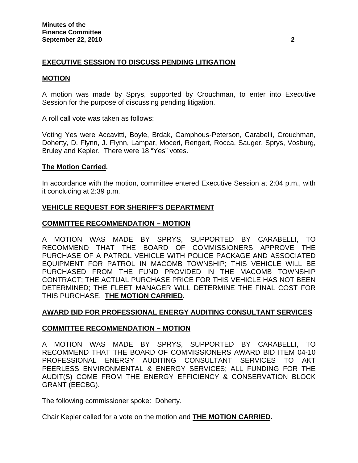# **EXECUTIVE SESSION TO DISCUSS PENDING LITIGATION**

## **MOTION**

A motion was made by Sprys, supported by Crouchman, to enter into Executive Session for the purpose of discussing pending litigation.

A roll call vote was taken as follows:

Voting Yes were Accavitti, Boyle, Brdak, Camphous-Peterson, Carabelli, Crouchman, Doherty, D. Flynn, J. Flynn, Lampar, Moceri, Rengert, Rocca, Sauger, Sprys, Vosburg, Bruley and Kepler. There were 18 "Yes" votes.

## **The Motion Carried.**

In accordance with the motion, committee entered Executive Session at 2:04 p.m., with it concluding at 2:39 p.m.

## **VEHICLE REQUEST FOR SHERIFF'S DEPARTMENT**

## **COMMITTEE RECOMMENDATION – MOTION**

A MOTION WAS MADE BY SPRYS, SUPPORTED BY CARABELLI, TO RECOMMEND THAT THE BOARD OF COMMISSIONERS APPROVE THE PURCHASE OF A PATROL VEHICLE WITH POLICE PACKAGE AND ASSOCIATED EQUIPMENT FOR PATROL IN MACOMB TOWNSHIP; THIS VEHICLE WILL BE PURCHASED FROM THE FUND PROVIDED IN THE MACOMB TOWNSHIP CONTRACT; THE ACTUAL PURCHASE PRICE FOR THIS VEHICLE HAS NOT BEEN DETERMINED; THE FLEET MANAGER WILL DETERMINE THE FINAL COST FOR THIS PURCHASE. **THE MOTION CARRIED.** 

## **AWARD BID FOR PROFESSIONAL ENERGY AUDITING CONSULTANT SERVICES**

## **COMMITTEE RECOMMENDATION – MOTION**

A MOTION WAS MADE BY SPRYS, SUPPORTED BY CARABELLI, TO RECOMMEND THAT THE BOARD OF COMMISSIONERS AWARD BID ITEM 04-10 PROFESSIONAL ENERGY AUDITING CONSULTANT SERVICES TO AKT PEERLESS ENVIRONMENTAL & ENERGY SERVICES; ALL FUNDING FOR THE AUDIT(S) COME FROM THE ENERGY EFFICIENCY & CONSERVATION BLOCK GRANT (EECBG).

The following commissioner spoke: Doherty.

Chair Kepler called for a vote on the motion and **THE MOTION CARRIED.**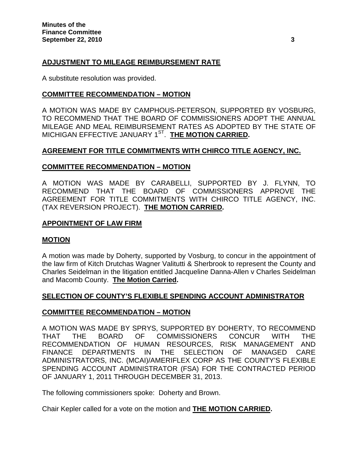# **ADJUSTMENT TO MILEAGE REIMBURSEMENT RATE**

A substitute resolution was provided.

## **COMMITTEE RECOMMENDATION – MOTION**

A MOTION WAS MADE BY CAMPHOUS-PETERSON, SUPPORTED BY VOSBURG, TO RECOMMEND THAT THE BOARD OF COMMISSIONERS ADOPT THE ANNUAL MILEAGE AND MEAL REIMBURSEMENT RATES AS ADOPTED BY THE STATE OF MICHIGAN EFFECTIVE JANUARY 1ST. **THE MOTION CARRIED.** 

## **AGREEMENT FOR TITLE COMMITMENTS WITH CHIRCO TITLE AGENCY, INC.**

## **COMMITTEE RECOMMENDATION – MOTION**

A MOTION WAS MADE BY CARABELLI, SUPPORTED BY J. FLYNN, TO RECOMMEND THAT THE BOARD OF COMMISSIONERS APPROVE THE AGREEMENT FOR TITLE COMMITMENTS WITH CHIRCO TITLE AGENCY, INC. (TAX REVERSION PROJECT). **THE MOTION CARRIED.** 

## **APPOINTMENT OF LAW FIRM**

## **MOTION**

A motion was made by Doherty, supported by Vosburg, to concur in the appointment of the law firm of Kitch Drutchas Wagner Valitutti & Sherbrook to represent the County and Charles Seidelman in the litigation entitled Jacqueline Danna-Allen v Charles Seidelman and Macomb County. **The Motion Carried.** 

## **SELECTION OF COUNTY'S FLEXIBLE SPENDING ACCOUNT ADMINISTRATOR**

## **COMMITTEE RECOMMENDATION – MOTION**

A MOTION WAS MADE BY SPRYS, SUPPORTED BY DOHERTY, TO RECOMMEND THAT THE BOARD OF COMMISSIONERS CONCUR WITH THE RECOMMENDATION OF HUMAN RESOURCES, RISK MANAGEMENT AND FINANCE DEPARTMENTS IN THE SELECTION OF MANAGED CARE ADMINISTRATORS, INC. (MCAI)/AMERIFLEX CORP AS THE COUNTY'S FLEXIBLE SPENDING ACCOUNT ADMINISTRATOR (FSA) FOR THE CONTRACTED PERIOD OF JANUARY 1, 2011 THROUGH DECEMBER 31, 2013.

The following commissioners spoke: Doherty and Brown.

Chair Kepler called for a vote on the motion and **THE MOTION CARRIED.**